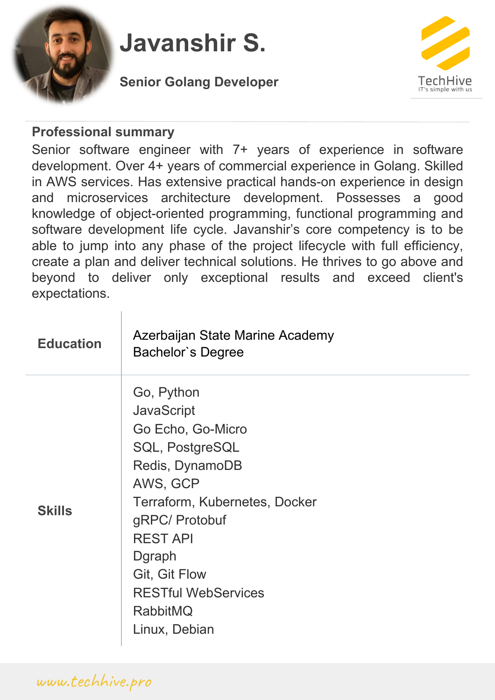

## **Javanshir S.**

**Senior Golang Developer**



## **Professional summary**

Senior software engineer with 7+ years of experience in software development. Over 4+ years of commercial experience in Golang. Skilled in AWS services. Has extensive practical hands-on experience in design and microservices architecture development. Possesses a good knowledge of object-oriented programming, functional programming and software development life cycle. Javanshir's core competency is to be able to jump into any phase of the project lifecycle with full efficiency, create a plan and deliver technical solutions. He thrives to go above and beyond to deliver only exceptional results and exceed client's expectations.

| <b>Education</b> | Azerbaijan State Marine Academy<br>Bachelor's Degree                                                                                                                                                                                                                             |
|------------------|----------------------------------------------------------------------------------------------------------------------------------------------------------------------------------------------------------------------------------------------------------------------------------|
| <b>Skills</b>    | Go, Python<br><b>JavaScript</b><br>Go Echo, Go-Micro<br>SQL, PostgreSQL<br>Redis, DynamoDB<br>AWS, GCP<br>Terraform, Kubernetes, Docker<br>gRPC/ Protobuf<br><b>REST API</b><br>Dgraph<br><b>Git, Git Flow</b><br><b>RESTful WebServices</b><br><b>RabbitMQ</b><br>Linux, Debian |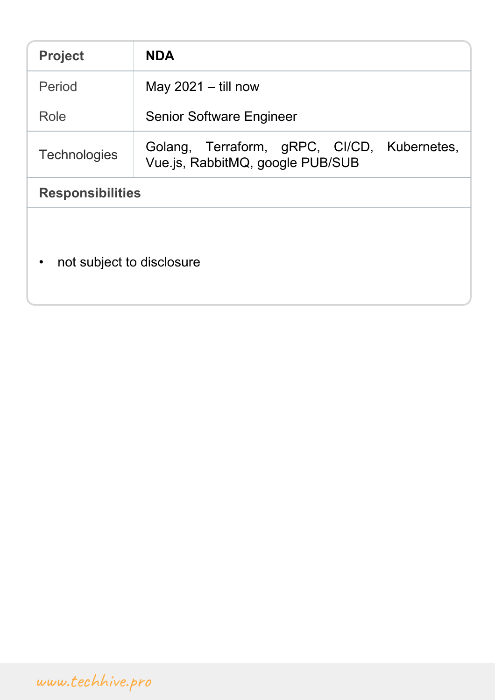| <b>Project</b>                         | <b>NDA</b>                                                                      |  |
|----------------------------------------|---------------------------------------------------------------------------------|--|
| Period                                 | May $2021 -$ till now                                                           |  |
| Role                                   | <b>Senior Software Engineer</b>                                                 |  |
| <b>Technologies</b>                    | Golang, Terraform, gRPC, Cl/CD, Kubernetes,<br>Vue.js, RabbitMQ, google PUB/SUB |  |
| <b>Responsibilities</b>                |                                                                                 |  |
| not subject to disclosure<br>$\bullet$ |                                                                                 |  |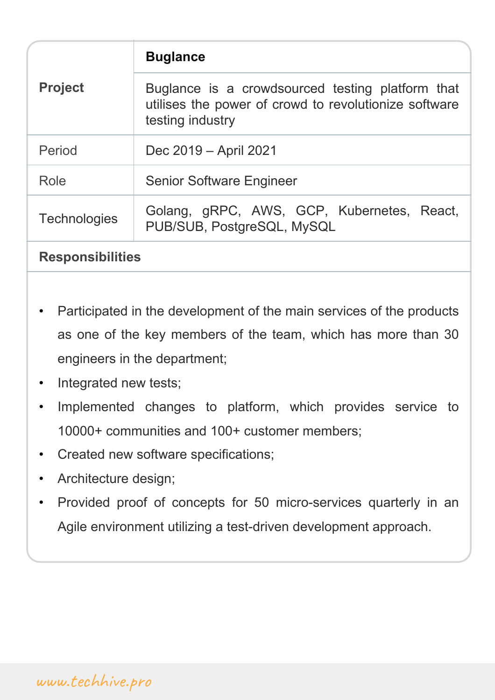| <b>Project</b>          | <b>Buglance</b>                                                                                                               |  |
|-------------------------|-------------------------------------------------------------------------------------------------------------------------------|--|
|                         | Buglance is a crowdsourced testing platform that<br>utilises the power of crowd to revolutionize software<br>testing industry |  |
| Period                  | Dec 2019 – April 2021                                                                                                         |  |
| Role                    | <b>Senior Software Engineer</b>                                                                                               |  |
| <b>Technologies</b>     | Golang, gRPC, AWS, GCP, Kubernetes, React,<br>PUB/SUB, PostgreSQL, MySQL                                                      |  |
| <b>Responsibilities</b> |                                                                                                                               |  |

- Participated in the development of the main services of the products as one of the key members of the team, which has more than 30 engineers in the department;
- Integrated new tests;
- Implemented changes to platform, which provides service to 10000+ communities and 100+ customer members;
- Created new software specifications;
- Architecture design;
- Provided proof of concepts for 50 micro-services quarterly in an Agile environment utilizing a test-driven development approach.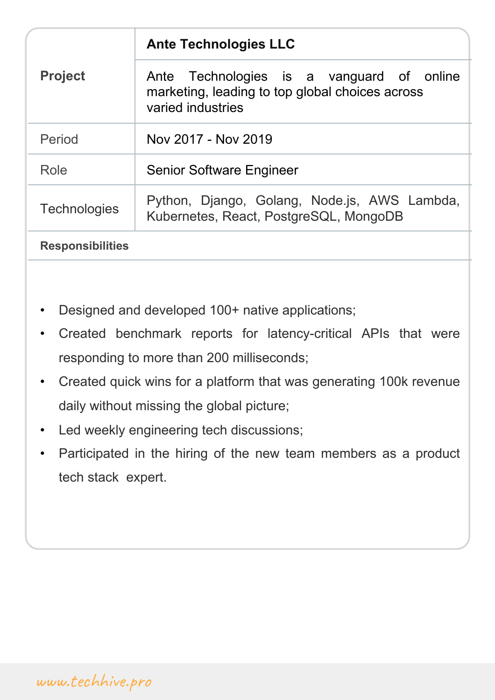|                         | <b>Ante Technologies LLC</b>                                                                                      |
|-------------------------|-------------------------------------------------------------------------------------------------------------------|
| <b>Project</b>          | Ante Technologies is a vanguard of online<br>marketing, leading to top global choices across<br>varied industries |
| Period                  | Nov 2017 - Nov 2019                                                                                               |
| Role                    | <b>Senior Software Engineer</b>                                                                                   |
| <b>Technologies</b>     | Python, Django, Golang, Node.js, AWS Lambda,<br>Kubernetes, React, PostgreSQL, MongoDB                            |
| <b>Responsibilities</b> |                                                                                                                   |

- Designed and developed 100+ native applications;
- Created benchmark reports for latency-critical APIs that were responding to more than 200 milliseconds;
- Created quick wins for a platform that was generating 100k revenue daily without missing the global picture;
- Led weekly engineering tech discussions;
- Participated in the hiring of the new team members as a product tech stack expert.